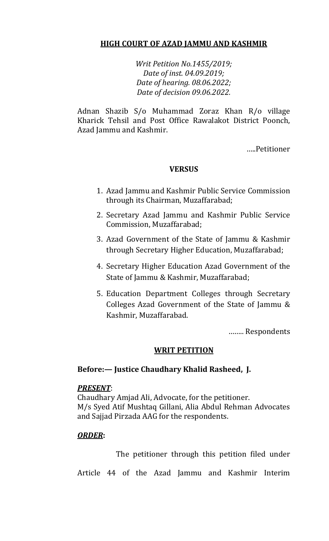# **HIGH COURT OF AZAD JAMMU AND KASHMIR**

*Writ Petition No.1455/2019; Date of inst. 04.09.2019; Date of hearing. 08.06.2022; Date of decision 09.06.2022.*

Adnan Shazib S/o Muhammad Zoraz Khan R/o village Kharick Tehsil and Post Office Rawalakot District Poonch, Azad Jammu and Kashmir.

…..Petitioner

## **VERSUS**

- 1. Azad Jammu and Kashmir Public Service Commission through its Chairman, Muzaffarabad;
- 2. Secretary Azad Jammu and Kashmir Public Service Commission, Muzaffarabad;
- 3. Azad Government of the State of Jammu & Kashmir through Secretary Higher Education, Muzaffarabad;
- 4. Secretary Higher Education Azad Government of the State of Jammu & Kashmir, Muzaffarabad;
- 5. Education Department Colleges through Secretary Colleges Azad Government of the State of Jammu & Kashmir, Muzaffarabad.

…….. Respondents

### **WRIT PETITION**

### **Before:— Justice Chaudhary Khalid Rasheed, J.**

### *PRESENT*:

Chaudhary Amjad Ali, Advocate, for the petitioner. M/s Syed Atif Mushtaq Gillani, Alia Abdul Rehman Advocates and Sajjad Pirzada AAG for the respondents.

### *ORDER***:**

The petitioner through this petition filed under

Article 44 of the Azad Jammu and Kashmir Interim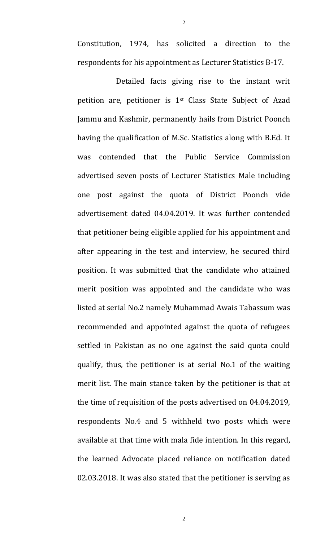Constitution, 1974, has solicited a direction to the respondents for his appointment as Lecturer Statistics B-17.

2

Detailed facts giving rise to the instant writ petition are, petitioner is 1st Class State Subject of Azad Jammu and Kashmir, permanently hails from District Poonch having the qualification of M.Sc. Statistics along with B.Ed. It was contended that the Public Service Commission advertised seven posts of Lecturer Statistics Male including one post against the quota of District Poonch vide advertisement dated 04.04.2019. It was further contended that petitioner being eligible applied for his appointment and after appearing in the test and interview, he secured third position. It was submitted that the candidate who attained merit position was appointed and the candidate who was listed at serial No.2 namely Muhammad Awais Tabassum was recommended and appointed against the quota of refugees settled in Pakistan as no one against the said quota could qualify, thus, the petitioner is at serial No.1 of the waiting merit list. The main stance taken by the petitioner is that at the time of requisition of the posts advertised on 04.04.2019, respondents No.4 and 5 withheld two posts which were available at that time with mala fide intention. In this regard, the learned Advocate placed reliance on notification dated 02.03.2018. It was also stated that the petitioner is serving as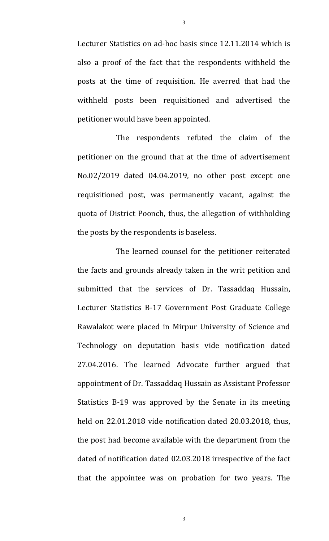Lecturer Statistics on ad-hoc basis since 12.11.2014 which is also a proof of the fact that the respondents withheld the posts at the time of requisition. He averred that had the withheld posts been requisitioned and advertised the petitioner would have been appointed.

3

The respondents refuted the claim of the petitioner on the ground that at the time of advertisement No.02/2019 dated 04.04.2019, no other post except one requisitioned post, was permanently vacant, against the quota of District Poonch, thus, the allegation of withholding the posts by the respondents is baseless.

The learned counsel for the petitioner reiterated the facts and grounds already taken in the writ petition and submitted that the services of Dr. Tassaddaq Hussain, Lecturer Statistics B-17 Government Post Graduate College Rawalakot were placed in Mirpur University of Science and Technology on deputation basis vide notification dated 27.04.2016. The learned Advocate further argued that appointment of Dr. Tassaddaq Hussain as Assistant Professor Statistics B-19 was approved by the Senate in its meeting held on 22.01.2018 vide notification dated 20.03.2018, thus, the post had become available with the department from the dated of notification dated 02.03.2018 irrespective of the fact that the appointee was on probation for two years. The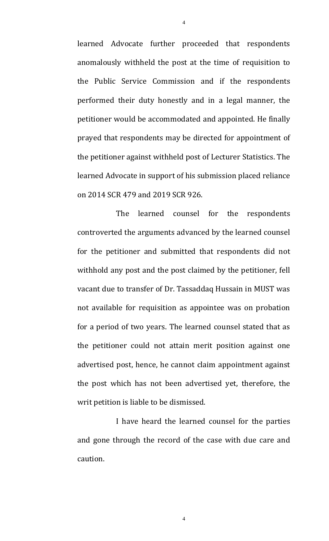learned Advocate further proceeded that respondents anomalously withheld the post at the time of requisition to the Public Service Commission and if the respondents performed their duty honestly and in a legal manner, the petitioner would be accommodated and appointed. He finally prayed that respondents may be directed for appointment of the petitioner against withheld post of Lecturer Statistics. The learned Advocate in support of his submission placed reliance on 2014 SCR 479 and 2019 SCR 926.

The learned counsel for the respondents controverted the arguments advanced by the learned counsel for the petitioner and submitted that respondents did not withhold any post and the post claimed by the petitioner, fell vacant due to transfer of Dr. Tassaddaq Hussain in MUST was not available for requisition as appointee was on probation for a period of two years. The learned counsel stated that as the petitioner could not attain merit position against one advertised post, hence, he cannot claim appointment against the post which has not been advertised yet, therefore, the writ petition is liable to be dismissed.

I have heard the learned counsel for the parties and gone through the record of the case with due care and caution.

4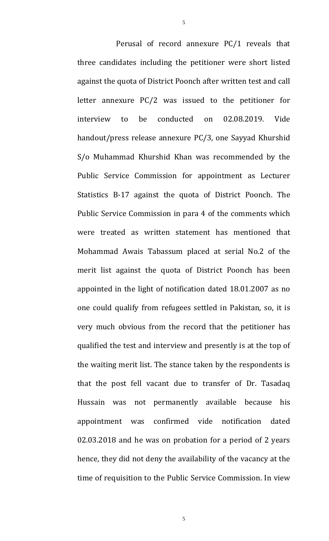Perusal of record annexure PC/1 reveals that three candidates including the petitioner were short listed against the quota of District Poonch after written test and call letter annexure PC/2 was issued to the petitioner for interview to be conducted on 02.08.2019. Vide handout/press release annexure PC/3, one Sayyad Khurshid S/o Muhammad Khurshid Khan was recommended by the Public Service Commission for appointment as Lecturer Statistics B-17 against the quota of District Poonch. The Public Service Commission in para 4 of the comments which were treated as written statement has mentioned that Mohammad Awais Tabassum placed at serial No.2 of the merit list against the quota of District Poonch has been appointed in the light of notification dated 18.01.2007 as no one could qualify from refugees settled in Pakistan, so, it is very much obvious from the record that the petitioner has qualified the test and interview and presently is at the top of the waiting merit list. The stance taken by the respondents is that the post fell vacant due to transfer of Dr. Tasadaq Hussain was not permanently available because his appointment was confirmed vide notification dated 02.03.2018 and he was on probation for a period of 2 years hence, they did not deny the availability of the vacancy at the time of requisition to the Public Service Commission. In view

5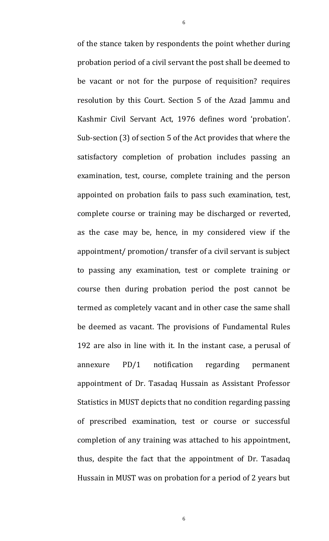of the stance taken by respondents the point whether during probation period of a civil servant the post shall be deemed to be vacant or not for the purpose of requisition? requires resolution by this Court. Section 5 of the Azad Jammu and Kashmir Civil Servant Act, 1976 defines word 'probation'. Sub-section (3) of section 5 of the Act provides that where the satisfactory completion of probation includes passing an examination, test, course, complete training and the person appointed on probation fails to pass such examination, test, complete course or training may be discharged or reverted, as the case may be, hence, in my considered view if the appointment/ promotion/ transfer of a civil servant is subject to passing any examination, test or complete training or course then during probation period the post cannot be termed as completely vacant and in other case the same shall be deemed as vacant. The provisions of Fundamental Rules 192 are also in line with it. In the instant case, a perusal of annexure PD/1 notification regarding permanent appointment of Dr. Tasadaq Hussain as Assistant Professor Statistics in MUST depicts that no condition regarding passing of prescribed examination, test or course or successful completion of any training was attached to his appointment, thus, despite the fact that the appointment of Dr. Tasadaq Hussain in MUST was on probation for a period of 2 years but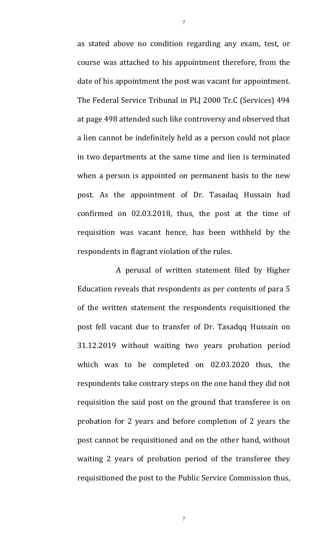as stated above no condition regarding any exam, test, or course was attached to his appointment therefore, from the date of his appointment the post was vacant for appointment. The Federal Service Tribunal in PLJ 2000 Tr.C (Services) 494 at page 498 attended such like controversy and observed that a lien cannot be indefinitely held as a person could not place in two departments at the same time and lien is terminated when a person is appointed on permanent basis to the new post. As the appointment of Dr. Tasadaq Hussain had confirmed on 02.03.2018, thus, the post at the time of requisition was vacant hence, has been withheld by the respondents in flagrant violation of the rules.

A perusal of written statement filed by Higher Education reveals that respondents as per contents of para 5 of the written statement the respondents requisitioned the post fell vacant due to transfer of Dr. Tasadqq Hussain on 31.12.2019 without waiting two years probation period which was to be completed on 02.03.2020 thus, the respondents take contrary steps on the one hand they did not requisition the said post on the ground that transferee is on probation for 2 years and before completion of 2 years the post cannot be requisitioned and on the other hand, without waiting 2 years of probation period of the transferee they requisitioned the post to the Public Service Commission thus,

7